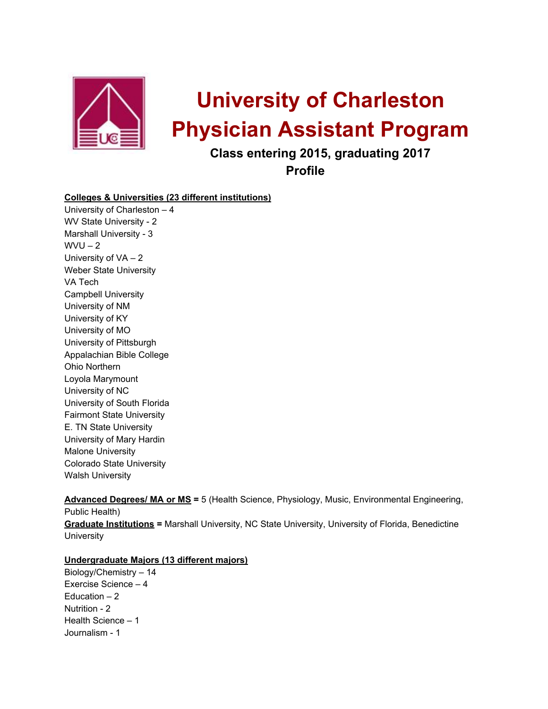

# **University of Charleston Physician Assistant Program**

**Class entering 2015, graduating 2017**

**Profile**

## **Colleges & Universities (23 different institutions)**

University of Charleston – 4 WV State University - 2 Marshall University - 3  $WVU - 2$ University of VA – 2 Weber State University VA Tech Campbell University University of NM University of KY University of MO University of Pittsburgh Appalachian Bible College Ohio Northern Loyola Marymount University of NC University of South Florida Fairmont State University E. TN State University University of Mary Hardin Malone University Colorado State University Walsh University

**Advanced Degrees/ MA or MS =** 5 (Health Science, Physiology, Music, Environmental Engineering, Public Health) **Graduate Institutions =** Marshall University, NC State University, University of Florida, Benedictine **University** 

### **Undergraduate Majors (13 different majors)**

Biology/Chemistry – 14 Exercise Science – 4 Education – 2 Nutrition - 2 Health Science – 1 Journalism - 1